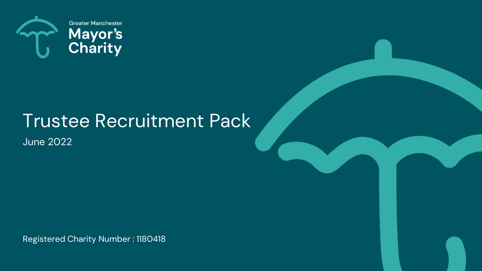

# Trustee Recruitment Pack

June 2022

Registered Charity Number : 1180418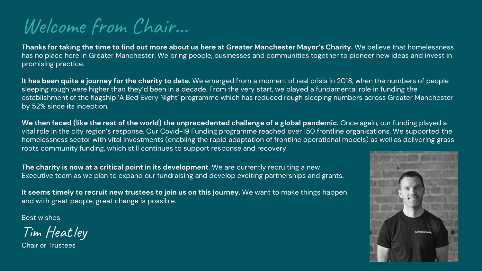Welcome from Chair…

**Thanks for taking the time to find out more about us here at Greater Manchester Mayor's Charity.** We believe that homelessness has no place here in Greater Manchester. We bring people, businesses and communities together to pioneer new ideas and invest in promising practice.

**It has been quite a journey for the charity to date.** We emerged from a moment of real crisis in 2018, when the numbers of people sleeping rough were higher than they'd been in a decade. From the very start, we played a fundamental role in funding the establishment of the flagship 'A Bed Every Night' programme which has reduced rough sleeping numbers across Greater Manchester by 52% since its inception.

**We then faced (like the rest of the world) the unprecedented challenge of a global pandemic.** Once again, our funding played a vital role in the city region's response. Our Covid-19 Funding programme reached over 150 frontline organisations. We supported the homelessness sector with vital investments (enabling the rapid adaptation of frontline operational models) as well as delivering grass roots community funding, which still continues to support response and recovery.

**The charity is now at a critical point in its development**. We are currently recruiting a new Executive team as we plan to expand our fundraising and develop exciting partnerships and grants.

**It seems timely to recruit new trustees to join us on this journey.** We want to make things happen and with great people, great change is possible.

Best wishes

Tim Heatley

Chair or Trustees

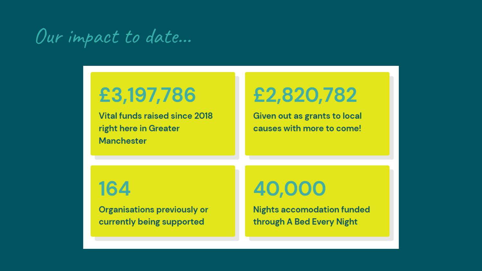## Our impact to date...

## £3,197,786

Vital funds raised since 2018 right here in Greater **Manchester** 

# £2,820,782

Given out as grants to local causes with more to come!

### 164

**Organisations previously or** currently being supported

## 40,000

**Nights accomodation funded** through A Bed Every Night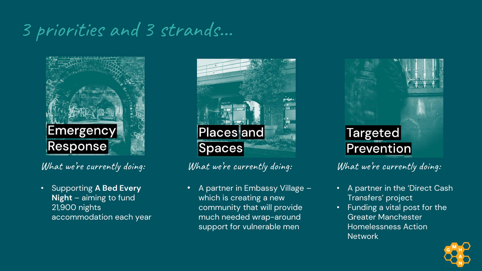### 3 priorities and 3 strands…



**What we're currently doing:** 

• Supporting **A Bed Every Night** – aiming to fund 21,900 nights accommodation each year



**What we're currently doing:** 

• A partner in Embassy Village – which is creating a new community that will provide much needed wrap-around support for vulnerable men



**What we're currently doing:** 

- A partner in the 'Direct Cash Transfers' project
- Funding a vital post for the Greater Manchester Homelessness Action Network

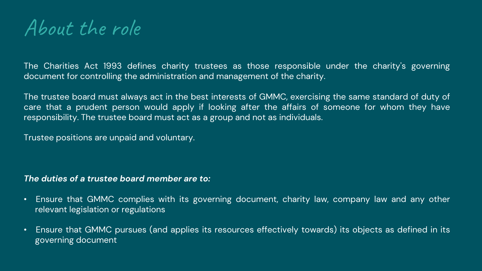### About the role

The Charities Act 1993 defines charity trustees as those responsible under the charity's governing document for controlling the administration and management of the charity.

The trustee board must always act in the best interests of GMMC, exercising the same standard of duty of care that a prudent person would apply if looking after the affairs of someone for whom they have responsibility. The trustee board must act as a group and not as individuals.

Trustee positions are unpaid and voluntary.

#### *The duties of a trustee board member are to:*

- Ensure that GMMC complies with its governing document, charity law, company law and any other relevant legislation or regulations
- Ensure that GMMC pursues (and applies its resources effectively towards) its objects as defined in its governing document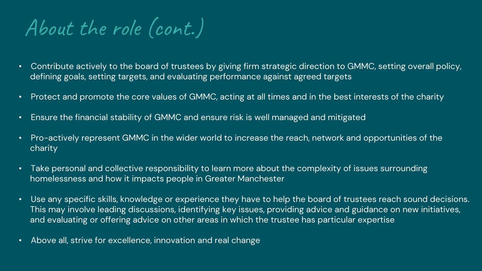About the role (cont.)

- Contribute actively to the board of trustees by giving firm strategic direction to GMMC, setting overall policy, defining goals, setting targets, and evaluating performance against agreed targets
- Protect and promote the core values of GMMC, acting at all times and in the best interests of the charity
- Ensure the financial stability of GMMC and ensure risk is well managed and mitigated
- Pro-actively represent GMMC in the wider world to increase the reach, network and opportunities of the charity
- Take personal and collective responsibility to learn more about the complexity of issues surrounding homelessness and how it impacts people in Greater Manchester
- Use any specific skills, knowledge or experience they have to help the board of trustees reach sound decisions. This may involve leading discussions, identifying key issues, providing advice and guidance on new initiatives, and evaluating or offering advice on other areas in which the trustee has particular expertise
- Above all, strive for excellence, innovation and real change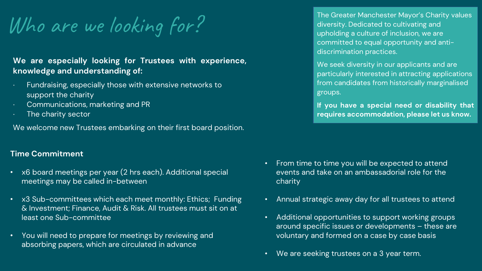Who are we looking for?

#### **We are especially looking for Trustees with experience, knowledge and understanding of:**

- ∙ Fundraising, especially those with extensive networks to support the charity
- ∙ Communications, marketing and PR
- ∙ The charity sector

We welcome new Trustees embarking on their first board position.

#### **Time Commitment**

- x6 board meetings per year (2 hrs each). Additional special meetings may be called in-between
- x3 Sub-committees which each meet monthly: Ethics; Funding & Investment; Finance, Audit & Risk. All trustees must sit on at least one Sub-committee
- You will need to prepare for meetings by reviewing and absorbing papers, which are circulated in advance

The Greater Manchester Mayor's Charity values diversity. Dedicated to cultivating and upholding a culture of inclusion, we are committed to equal opportunity and antidiscrimination practices.

We seek diversity in our applicants and are particularly interested in attracting applications from candidates from historically marginalised groups.

**If you have a special need or disability that requires accommodation, please let us know.**

- From time to time you will be expected to attend events and take on an ambassadorial role for the charity
- Annual strategic away day for all trustees to attend
- Additional opportunities to support working groups around specific issues or developments – these are voluntary and formed on a case by case basis
- We are seeking trustees on a 3 year term.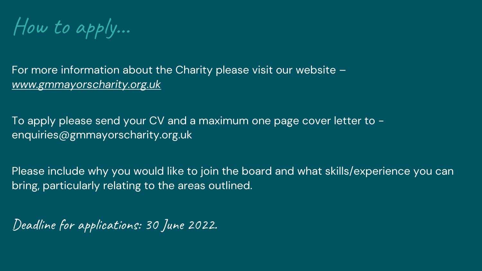How to apply…

For more information about the Charity please visit our website – *[www.gmmayorscharity.org.uk](http://www.gmmayorscharity.org.uk/)*

To apply please send your CV and a maximum one page cover letter to enquiries@gmmayorscharity.org.uk

Please include why you would like to join the board and what skills/experience you can bring, particularly relating to the areas outlined.

Deadline for applications: 30 June 2022.